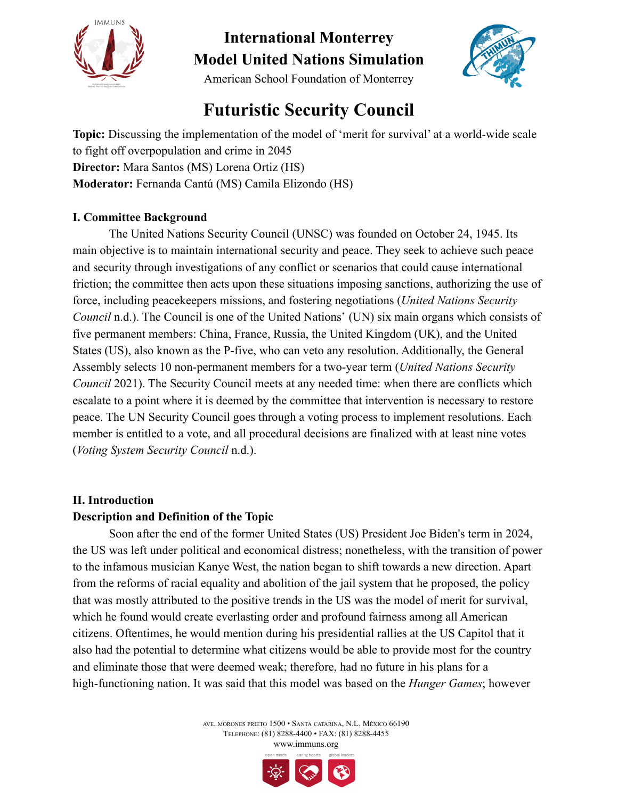



American School Foundation of Monterrey

# **Futuristic Security Council**

**Topic:** Discussing the implementation of the model of 'merit for survival' at a world-wide scale to fight off overpopulation and crime in 2045 **Director:** Mara Santos (MS) Lorena Ortiz (HS) **Moderator:** Fernanda Cantú (MS) Camila Elizondo (HS)

### **I. Committee Background**

The United Nations Security Council (UNSC) was founded on October 24, 1945. Its main objective is to maintain international security and peace. They seek to achieve such peace and security through investigations of any conflict or scenarios that could cause international friction; the committee then acts upon these situations imposing sanctions, authorizing the use of force, including peacekeepers missions, and fostering negotiations (*United Nations Security Council* n.d.). The Council is one of the United Nations' (UN) six main organs which consists of five permanent members: China, France, Russia, the United Kingdom (UK), and the United States (US), also known as the P-five, who can veto any resolution. Additionally, the General Assembly selects 10 non-permanent members for a two-year term (*United Nations Security Council* 2021). The Security Council meets at any needed time: when there are conflicts which escalate to a point where it is deemed by the committee that intervention is necessary to restore peace. The UN Security Council goes through a voting process to implement resolutions. Each member is entitled to a vote, and all procedural decisions are finalized with at least nine votes (*Voting System Security Council* n.d.).

### **II. Introduction**

### **Description and Definition of the Topic**

Soon after the end of the former United States (US) President Joe Biden's term in 2024, the US was left under political and economical distress; nonetheless, with the transition of power to the infamous musician Kanye West, the nation began to shift towards a new direction. Apart from the reforms of racial equality and abolition of the jail system that he proposed, the policy that was mostly attributed to the positive trends in the US was the model of merit for survival, which he found would create everlasting order and profound fairness among all American citizens. Oftentimes, he would mention during his presidential rallies at the US Capitol that it also had the potential to determine what citizens would be able to provide most for the country and eliminate those that were deemed weak; therefore, had no future in his plans for a high-functioning nation. It was said that this model was based on the *Hunger Games*; however

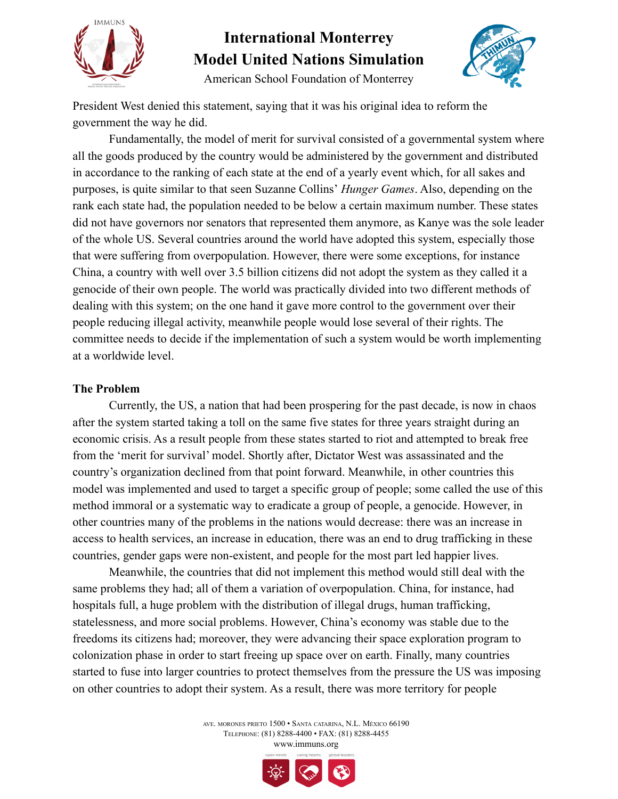



American School Foundation of Monterrey

President West denied this statement, saying that it was his original idea to reform the government the way he did.

Fundamentally, the model of merit for survival consisted of a governmental system where all the goods produced by the country would be administered by the government and distributed in accordance to the ranking of each state at the end of a yearly event which, for all sakes and purposes, is quite similar to that seen Suzanne Collins' *Hunger Games*. Also, depending on the rank each state had, the population needed to be below a certain maximum number. These states did not have governors nor senators that represented them anymore, as Kanye was the sole leader of the whole US. Several countries around the world have adopted this system, especially those that were suffering from overpopulation. However, there were some exceptions, for instance China, a country with well over 3.5 billion citizens did not adopt the system as they called it a genocide of their own people. The world was practically divided into two different methods of dealing with this system; on the one hand it gave more control to the government over their people reducing illegal activity, meanwhile people would lose several of their rights. The committee needs to decide if the implementation of such a system would be worth implementing at a worldwide level.

#### **The Problem**

Currently, the US, a nation that had been prospering for the past decade, is now in chaos after the system started taking a toll on the same five states for three years straight during an economic crisis. As a result people from these states started to riot and attempted to break free from the 'merit for survival' model. Shortly after, Dictator West was assassinated and the country's organization declined from that point forward. Meanwhile, in other countries this model was implemented and used to target a specific group of people; some called the use of this method immoral or a systematic way to eradicate a group of people, a genocide. However, in other countries many of the problems in the nations would decrease: there was an increase in access to health services, an increase in education, there was an end to drug trafficking in these countries, gender gaps were non-existent, and people for the most part led happier lives.

Meanwhile, the countries that did not implement this method would still deal with the same problems they had; all of them a variation of overpopulation. China, for instance, had hospitals full, a huge problem with the distribution of illegal drugs, human trafficking, statelessness, and more social problems. However, China's economy was stable due to the freedoms its citizens had; moreover, they were advancing their space exploration program to colonization phase in order to start freeing up space over on earth. Finally, many countries started to fuse into larger countries to protect themselves from the pressure the US was imposing on other countries to adopt their system. As a result, there was more territory for people

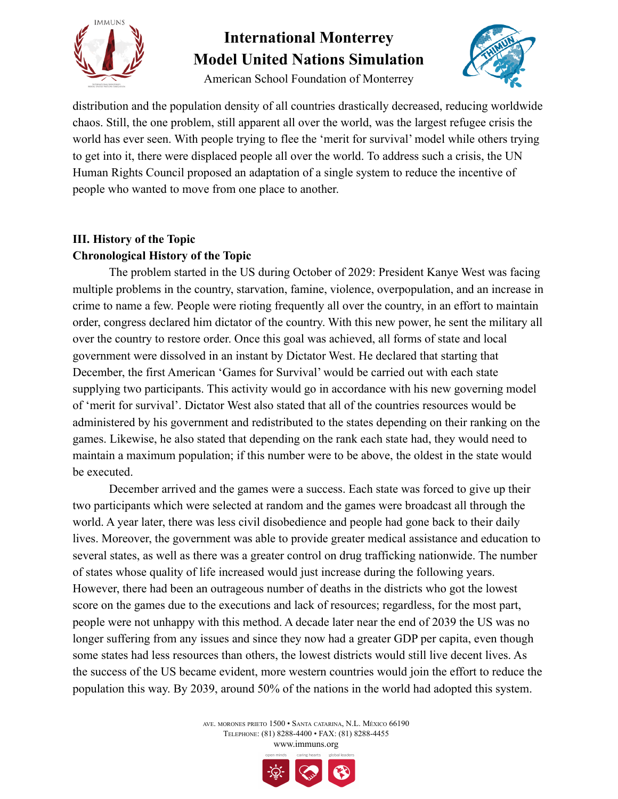

American School Foundation of Monterrey



distribution and the population density of all countries drastically decreased, reducing worldwide chaos. Still, the one problem, still apparent all over the world, was the largest refugee crisis the world has ever seen. With people trying to flee the 'merit for survival' model while others trying to get into it, there were displaced people all over the world. To address such a crisis, the UN Human Rights Council proposed an adaptation of a single system to reduce the incentive of people who wanted to move from one place to another.

## **III. History of the Topic Chronological History of the Topic**

The problem started in the US during October of 2029: President Kanye West was facing multiple problems in the country, starvation, famine, violence, overpopulation, and an increase in crime to name a few. People were rioting frequently all over the country, in an effort to maintain order, congress declared him dictator of the country. With this new power, he sent the military all over the country to restore order. Once this goal was achieved, all forms of state and local government were dissolved in an instant by Dictator West. He declared that starting that December, the first American 'Games for Survival' would be carried out with each state supplying two participants. This activity would go in accordance with his new governing model of 'merit for survival'. Dictator West also stated that all of the countries resources would be administered by his government and redistributed to the states depending on their ranking on the games. Likewise, he also stated that depending on the rank each state had, they would need to maintain a maximum population; if this number were to be above, the oldest in the state would be executed.

December arrived and the games were a success. Each state was forced to give up their two participants which were selected at random and the games were broadcast all through the world. A year later, there was less civil disobedience and people had gone back to their daily lives. Moreover, the government was able to provide greater medical assistance and education to several states, as well as there was a greater control on drug trafficking nationwide. The number of states whose quality of life increased would just increase during the following years. However, there had been an outrageous number of deaths in the districts who got the lowest score on the games due to the executions and lack of resources; regardless, for the most part, people were not unhappy with this method. A decade later near the end of 2039 the US was no longer suffering from any issues and since they now had a greater GDP per capita, even though some states had less resources than others, the lowest districts would still live decent lives. As the success of the US became evident, more western countries would join the effort to reduce the population this way. By 2039, around 50% of the nations in the world had adopted this system.

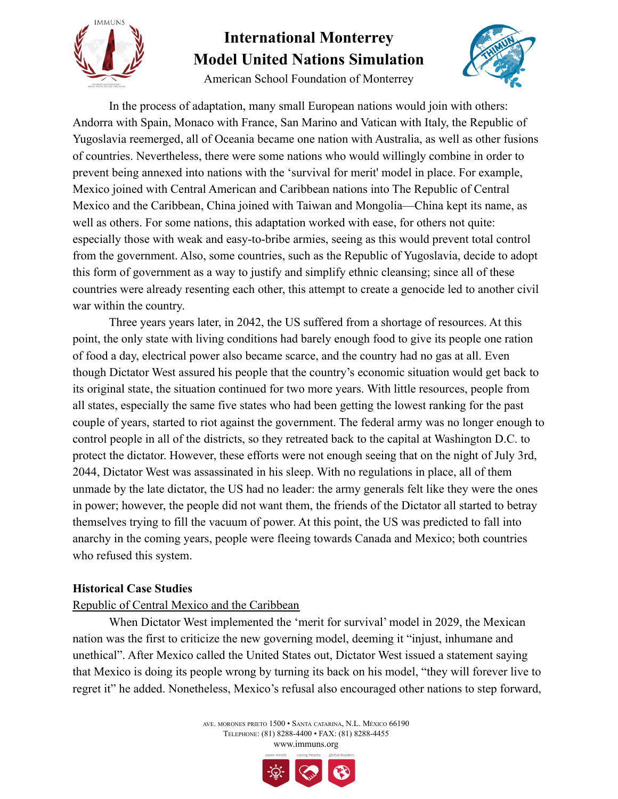

American School Foundation of Monterrey



In the process of adaptation, many small European nations would join with others: Andorra with Spain, Monaco with France, San Marino and Vatican with Italy, the Republic of Yugoslavia reemerged, all of Oceania became one nation with Australia, as well as other fusions of countries. Nevertheless, there were some nations who would willingly combine in order to prevent being annexed into nations with the 'survival for merit' model in place. For example, Mexico joined with Central American and Caribbean nations into The Republic of Central Mexico and the Caribbean, China joined with Taiwan and Mongolia—China kept its name, as well as others. For some nations, this adaptation worked with ease, for others not quite: especially those with weak and easy-to-bribe armies, seeing as this would prevent total control from the government. Also, some countries, such as the Republic of Yugoslavia, decide to adopt this form of government as a way to justify and simplify ethnic cleansing; since all of these countries were already resenting each other, this attempt to create a genocide led to another civil war within the country.

Three years years later, in 2042, the US suffered from a shortage of resources. At this point, the only state with living conditions had barely enough food to give its people one ration of food a day, electrical power also became scarce, and the country had no gas at all. Even though Dictator West assured his people that the country's economic situation would get back to its original state, the situation continued for two more years. With little resources, people from all states, especially the same five states who had been getting the lowest ranking for the past couple of years, started to riot against the government. The federal army was no longer enough to control people in all of the districts, so they retreated back to the capital at Washington D.C. to protect the dictator. However, these efforts were not enough seeing that on the night of July 3rd, 2044, Dictator West was assassinated in his sleep. With no regulations in place, all of them unmade by the late dictator, the US had no leader: the army generals felt like they were the ones in power; however, the people did not want them, the friends of the Dictator all started to betray themselves trying to fill the vacuum of power. At this point, the US was predicted to fall into anarchy in the coming years, people were fleeing towards Canada and Mexico; both countries who refused this system.

### **Historical Case Studies**

### Republic of Central Mexico and the Caribbean

When Dictator West implemented the 'merit for survival' model in 2029, the Mexican nation was the first to criticize the new governing model, deeming it "injust, inhumane and unethical". After Mexico called the United States out, Dictator West issued a statement saying that Mexico is doing its people wrong by turning its back on his model, "they will forever live to regret it" he added. Nonetheless, Mexico's refusal also encouraged other nations to step forward,

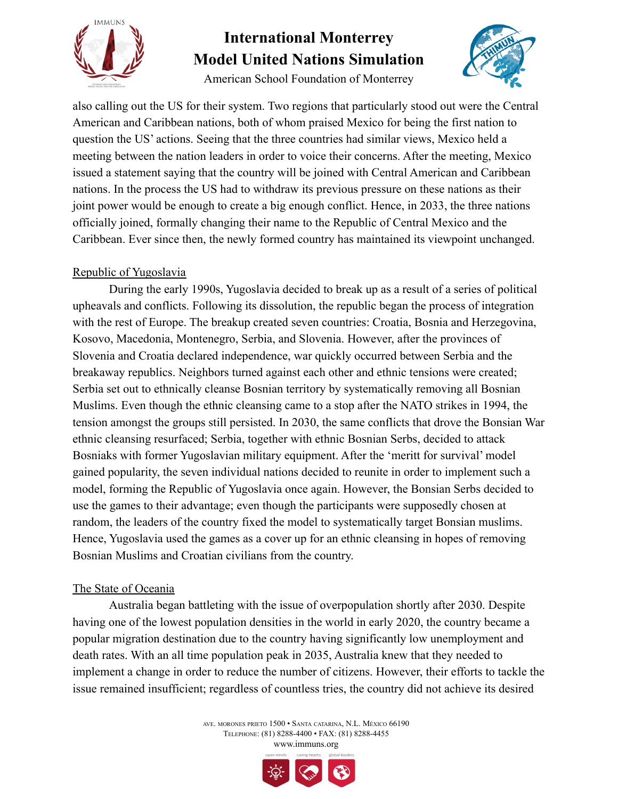

American School Foundation of Monterrey



also calling out the US for their system. Two regions that particularly stood out were the Central American and Caribbean nations, both of whom praised Mexico for being the first nation to question the US' actions. Seeing that the three countries had similar views, Mexico held a meeting between the nation leaders in order to voice their concerns. After the meeting, Mexico issued a statement saying that the country will be joined with Central American and Caribbean nations. In the process the US had to withdraw its previous pressure on these nations as their joint power would be enough to create a big enough conflict. Hence, in 2033, the three nations officially joined, formally changing their name to the Republic of Central Mexico and the Caribbean. Ever since then, the newly formed country has maintained its viewpoint unchanged.

### Republic of Yugoslavia

During the early 1990s, Yugoslavia decided to break up as a result of a series of political upheavals and conflicts. Following its dissolution, the republic began the process of integration with the rest of Europe. The breakup created seven countries: Croatia, Bosnia and Herzegovina, Kosovo, Macedonia, Montenegro, Serbia, and Slovenia. However, after the provinces of Slovenia and Croatia declared independence, war quickly occurred between Serbia and the breakaway republics. Neighbors turned against each other and ethnic tensions were created; Serbia set out to ethnically cleanse Bosnian territory by systematically removing all Bosnian Muslims. Even though the ethnic cleansing came to a stop after the NATO strikes in 1994, the tension amongst the groups still persisted. In 2030, the same conflicts that drove the Bonsian War ethnic cleansing resurfaced; Serbia, together with ethnic Bosnian Serbs, decided to attack Bosniaks with former Yugoslavian military equipment. After the 'meritt for survival' model gained popularity, the seven individual nations decided to reunite in order to implement such a model, forming the Republic of Yugoslavia once again. However, the Bonsian Serbs decided to use the games to their advantage; even though the participants were supposedly chosen at random, the leaders of the country fixed the model to systematically target Bonsian muslims. Hence, Yugoslavia used the games as a cover up for an ethnic cleansing in hopes of removing Bosnian Muslims and Croatian civilians from the country.

### The State of Oceania

Australia began battleting with the issue of overpopulation shortly after 2030. Despite having one of the lowest population densities in the world in early 2020, the country became a popular migration destination due to the country having significantly low unemployment and death rates. With an all time population peak in 2035, Australia knew that they needed to implement a change in order to reduce the number of citizens. However, their efforts to tackle the issue remained insufficient; regardless of countless tries, the country did not achieve its desired

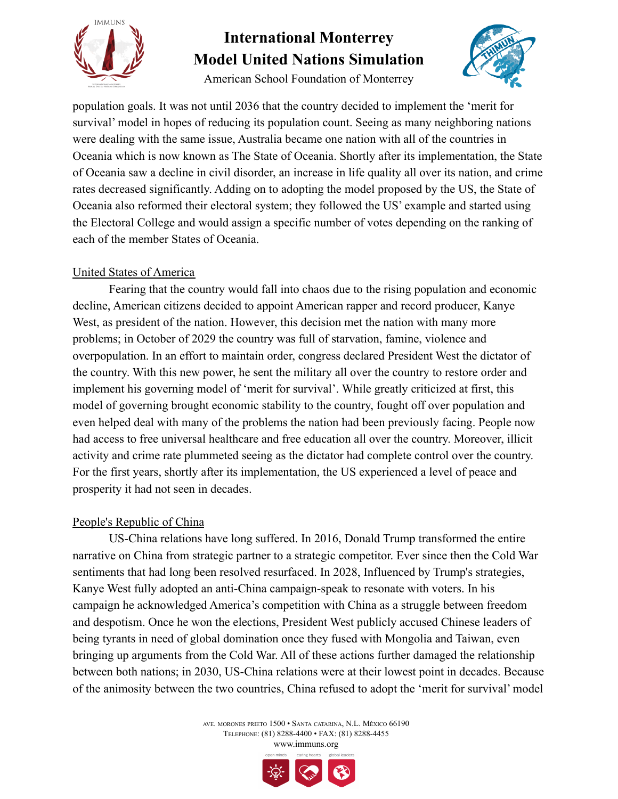

American School Foundation of Monterrey



population goals. It was not until 2036 that the country decided to implement the 'merit for survival' model in hopes of reducing its population count. Seeing as many neighboring nations were dealing with the same issue, Australia became one nation with all of the countries in Oceania which is now known as The State of Oceania. Shortly after its implementation, the State of Oceania saw a decline in civil disorder, an increase in life quality all over its nation, and crime rates decreased significantly. Adding on to adopting the model proposed by the US, the State of Oceania also reformed their electoral system; they followed the US' example and started using the Electoral College and would assign a specific number of votes depending on the ranking of each of the member States of Oceania.

### United States of America

Fearing that the country would fall into chaos due to the rising population and economic decline, American citizens decided to appoint American rapper and record producer, Kanye West, as president of the nation. However, this decision met the nation with many more problems; in October of 2029 the country was full of starvation, famine, violence and overpopulation. In an effort to maintain order, congress declared President West the dictator of the country. With this new power, he sent the military all over the country to restore order and implement his governing model of 'merit for survival'. While greatly criticized at first, this model of governing brought economic stability to the country, fought off over population and even helped deal with many of the problems the nation had been previously facing. People now had access to free universal healthcare and free education all over the country. Moreover, illicit activity and crime rate plummeted seeing as the dictator had complete control over the country. For the first years, shortly after its implementation, the US experienced a level of peace and prosperity it had not seen in decades.

### People's Republic of China

US-China relations have long suffered. In 2016, Donald Trump transformed the entire narrative on China from strategic partner to a strategic competitor. Ever since then the Cold War sentiments that had long been resolved resurfaced. In 2028, Influenced by Trump's strategies, Kanye West fully adopted an anti-China campaign-speak to resonate with voters. In his campaign he acknowledged America's competition with China as a struggle between freedom and despotism. Once he won the elections, President West publicly accused Chinese leaders of being tyrants in need of global domination once they fused with Mongolia and Taiwan, even bringing up arguments from the Cold War. All of these actions further damaged the relationship between both nations; in 2030, US-China relations were at their lowest point in decades. Because of the animosity between the two countries, China refused to adopt the 'merit for survival' model

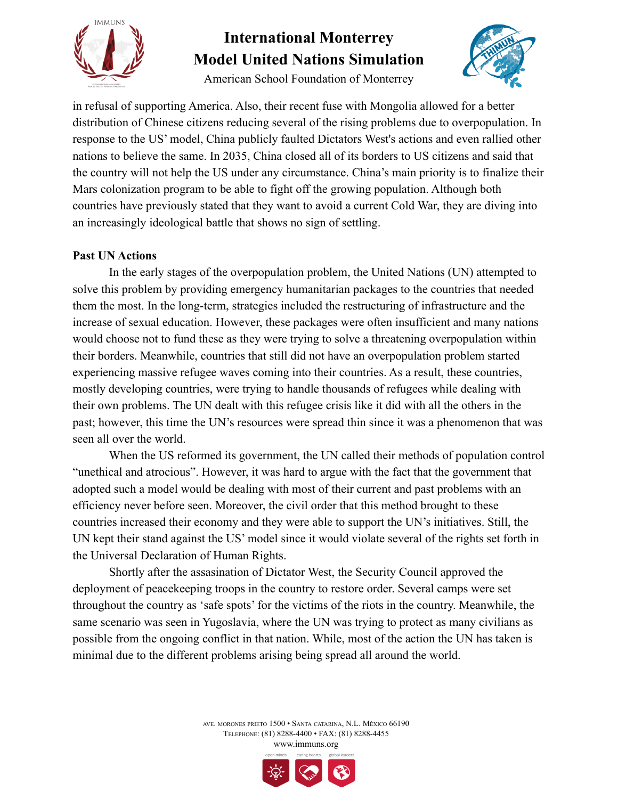

American School Foundation of Monterrey



in refusal of supporting America. Also, their recent fuse with Mongolia allowed for a better distribution of Chinese citizens reducing several of the rising problems due to overpopulation. In response to the US' model, China publicly faulted Dictators West's actions and even rallied other nations to believe the same. In 2035, China closed all of its borders to US citizens and said that the country will not help the US under any circumstance. China's main priority is to finalize their Mars colonization program to be able to fight off the growing population. Although both countries have previously stated that they want to avoid a current Cold War, they are diving into an increasingly ideological battle that shows no sign of settling.

### **Past UN Actions**

In the early stages of the overpopulation problem, the United Nations (UN) attempted to solve this problem by providing emergency humanitarian packages to the countries that needed them the most. In the long-term, strategies included the restructuring of infrastructure and the increase of sexual education. However, these packages were often insufficient and many nations would choose not to fund these as they were trying to solve a threatening overpopulation within their borders. Meanwhile, countries that still did not have an overpopulation problem started experiencing massive refugee waves coming into their countries. As a result, these countries, mostly developing countries, were trying to handle thousands of refugees while dealing with their own problems. The UN dealt with this refugee crisis like it did with all the others in the past; however, this time the UN's resources were spread thin since it was a phenomenon that was seen all over the world.

When the US reformed its government, the UN called their methods of population control "unethical and atrocious". However, it was hard to argue with the fact that the government that adopted such a model would be dealing with most of their current and past problems with an efficiency never before seen. Moreover, the civil order that this method brought to these countries increased their economy and they were able to support the UN's initiatives. Still, the UN kept their stand against the US' model since it would violate several of the rights set forth in the Universal Declaration of Human Rights.

Shortly after the assasination of Dictator West, the Security Council approved the deployment of peacekeeping troops in the country to restore order. Several camps were set throughout the country as 'safe spots' for the victims of the riots in the country. Meanwhile, the same scenario was seen in Yugoslavia, where the UN was trying to protect as many civilians as possible from the ongoing conflict in that nation. While, most of the action the UN has taken is minimal due to the different problems arising being spread all around the world.

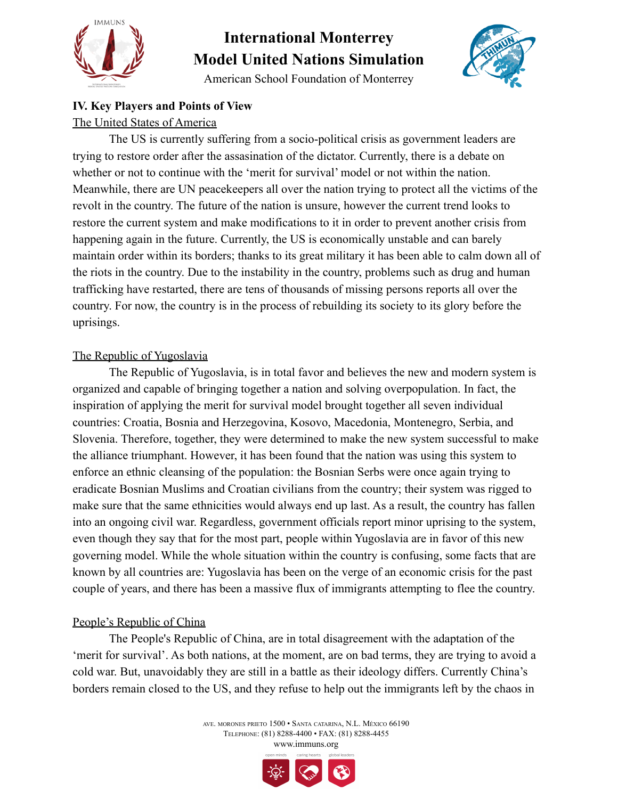

American School Foundation of Monterrey



### **IV. Key Players and Points of View**

#### The United States of America

The US is currently suffering from a socio-political crisis as government leaders are trying to restore order after the assasination of the dictator. Currently, there is a debate on whether or not to continue with the 'merit for survival' model or not within the nation. Meanwhile, there are UN peacekeepers all over the nation trying to protect all the victims of the revolt in the country. The future of the nation is unsure, however the current trend looks to restore the current system and make modifications to it in order to prevent another crisis from happening again in the future. Currently, the US is economically unstable and can barely maintain order within its borders; thanks to its great military it has been able to calm down all of the riots in the country. Due to the instability in the country, problems such as drug and human trafficking have restarted, there are tens of thousands of missing persons reports all over the country. For now, the country is in the process of rebuilding its society to its glory before the uprisings.

#### The Republic of Yugoslavia

The Republic of Yugoslavia, is in total favor and believes the new and modern system is organized and capable of bringing together a nation and solving overpopulation. In fact, the inspiration of applying the merit for survival model brought together all seven individual countries: Croatia, Bosnia and Herzegovina, Kosovo, Macedonia, Montenegro, Serbia, and Slovenia. Therefore, together, they were determined to make the new system successful to make the alliance triumphant. However, it has been found that the nation was using this system to enforce an ethnic cleansing of the population: the Bosnian Serbs were once again trying to eradicate Bosnian Muslims and Croatian civilians from the country; their system was rigged to make sure that the same ethnicities would always end up last. As a result, the country has fallen into an ongoing civil war. Regardless, government officials report minor uprising to the system, even though they say that for the most part, people within Yugoslavia are in favor of this new governing model. While the whole situation within the country is confusing, some facts that are known by all countries are: Yugoslavia has been on the verge of an economic crisis for the past couple of years, and there has been a massive flux of immigrants attempting to flee the country.

### People's Republic of China

The People's Republic of China, are in total disagreement with the adaptation of the 'merit for survival'. As both nations, at the moment, are on bad terms, they are trying to avoid a cold war. But, unavoidably they are still in a battle as their ideology differs. Currently China's borders remain closed to the US, and they refuse to help out the immigrants left by the chaos in

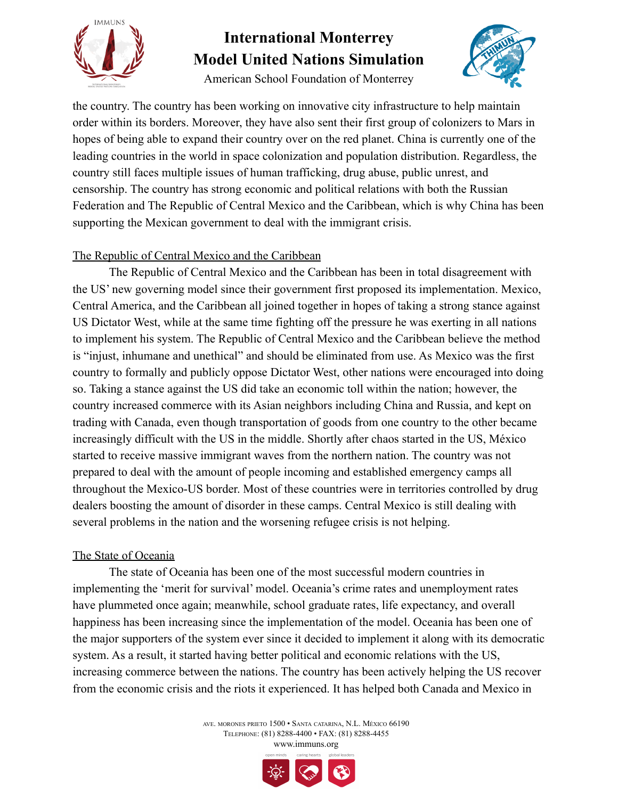

American School Foundation of Monterrey



the country. The country has been working on innovative city infrastructure to help maintain order within its borders. Moreover, they have also sent their first group of colonizers to Mars in hopes of being able to expand their country over on the red planet. China is currently one of the leading countries in the world in space colonization and population distribution. Regardless, the country still faces multiple issues of human trafficking, drug abuse, public unrest, and censorship. The country has strong economic and political relations with both the Russian Federation and The Republic of Central Mexico and the Caribbean, which is why China has been supporting the Mexican government to deal with the immigrant crisis.

### The Republic of Central Mexico and the Caribbean

The Republic of Central Mexico and the Caribbean has been in total disagreement with the US' new governing model since their government first proposed its implementation. Mexico, Central America, and the Caribbean all joined together in hopes of taking a strong stance against US Dictator West, while at the same time fighting off the pressure he was exerting in all nations to implement his system. The Republic of Central Mexico and the Caribbean believe the method is "injust, inhumane and unethical" and should be eliminated from use. As Mexico was the first country to formally and publicly oppose Dictator West, other nations were encouraged into doing so. Taking a stance against the US did take an economic toll within the nation; however, the country increased commerce with its Asian neighbors including China and Russia, and kept on trading with Canada, even though transportation of goods from one country to the other became increasingly difficult with the US in the middle. Shortly after chaos started in the US, México started to receive massive immigrant waves from the northern nation. The country was not prepared to deal with the amount of people incoming and established emergency camps all throughout the Mexico-US border. Most of these countries were in territories controlled by drug dealers boosting the amount of disorder in these camps. Central Mexico is still dealing with several problems in the nation and the worsening refugee crisis is not helping.

### The State of Oceania

The state of Oceania has been one of the most successful modern countries in implementing the 'merit for survival' model. Oceania's crime rates and unemployment rates have plummeted once again; meanwhile, school graduate rates, life expectancy, and overall happiness has been increasing since the implementation of the model. Oceania has been one of the major supporters of the system ever since it decided to implement it along with its democratic system. As a result, it started having better political and economic relations with the US, increasing commerce between the nations. The country has been actively helping the US recover from the economic crisis and the riots it experienced. It has helped both Canada and Mexico in

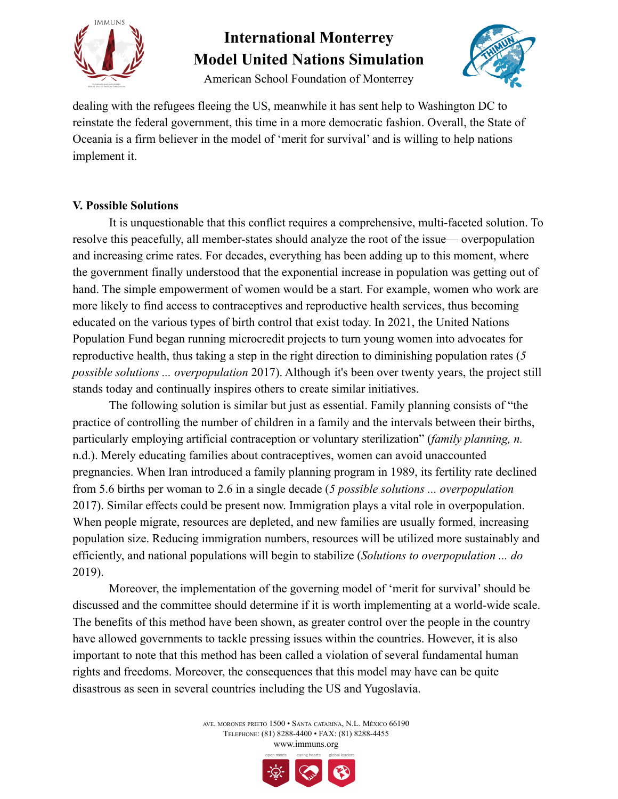

American School Foundation of Monterrey



dealing with the refugees fleeing the US, meanwhile it has sent help to Washington DC to reinstate the federal government, this time in a more democratic fashion. Overall, the State of Oceania is a firm believer in the model of 'merit for survival' and is willing to help nations implement it.

### **V. Possible Solutions**

It is unquestionable that this conflict requires a comprehensive, multi-faceted solution. To resolve this peacefully, all member-states should analyze the root of the issue— overpopulation and increasing crime rates. For decades, everything has been adding up to this moment, where the government finally understood that the exponential increase in population was getting out of hand. The simple empowerment of women would be a start. For example, women who work are more likely to find access to contraceptives and reproductive health services, thus becoming educated on the various types of birth control that exist today. In 2021, the United Nations Population Fund began running microcredit projects to turn young women into advocates for reproductive health, thus taking a step in the right direction to diminishing population rates (*5 possible solutions ... overpopulation* 2017). Although it's been over twenty years, the project still stands today and continually inspires others to create similar initiatives.

The following solution is similar but just as essential. Family planning consists of "the practice of controlling the number of children in a family and the intervals between their births, particularly employing artificial contraception or voluntary sterilization" (*family planning, n.* n.d.). Merely educating families about contraceptives, women can avoid unaccounted pregnancies. When Iran introduced a family planning program in 1989, its fertility rate declined from 5.6 births per woman to 2.6 in a single decade (*5 possible solutions ... overpopulation* 2017). Similar effects could be present now. Immigration plays a vital role in overpopulation. When people migrate, resources are depleted, and new families are usually formed, increasing population size. Reducing immigration numbers, resources will be utilized more sustainably and efficiently, and national populations will begin to stabilize (*Solutions to overpopulation ... do* 2019).

Moreover, the implementation of the governing model of 'merit for survival' should be discussed and the committee should determine if it is worth implementing at a world-wide scale. The benefits of this method have been shown, as greater control over the people in the country have allowed governments to tackle pressing issues within the countries. However, it is also important to note that this method has been called a violation of several fundamental human rights and freedoms. Moreover, the consequences that this model may have can be quite disastrous as seen in several countries including the US and Yugoslavia.

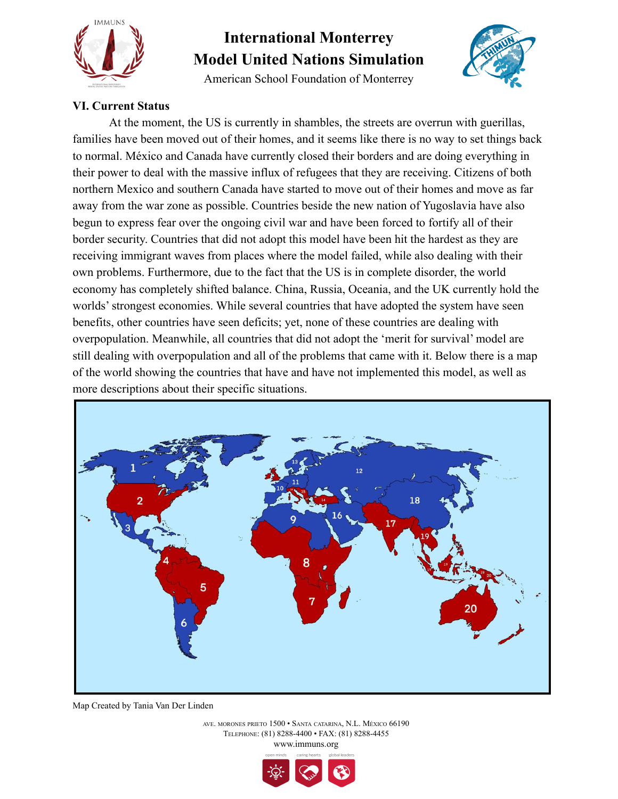

American School Foundation of Monterrey



### **VI. Current Status**

At the moment, the US is currently in shambles, the streets are overrun with guerillas, families have been moved out of their homes, and it seems like there is no way to set things back to normal. México and Canada have currently closed their borders and are doing everything in their power to deal with the massive influx of refugees that they are receiving. Citizens of both northern Mexico and southern Canada have started to move out of their homes and move as far away from the war zone as possible. Countries beside the new nation of Yugoslavia have also begun to express fear over the ongoing civil war and have been forced to fortify all of their border security. Countries that did not adopt this model have been hit the hardest as they are receiving immigrant waves from places where the model failed, while also dealing with their own problems. Furthermore, due to the fact that the US is in complete disorder, the world economy has completely shifted balance. China, Russia, Oceania, and the UK currently hold the worlds' strongest economies. While several countries that have adopted the system have seen benefits, other countries have seen deficits; yet, none of these countries are dealing with overpopulation. Meanwhile, all countries that did not adopt the 'merit for survival' model are still dealing with overpopulation and all of the problems that came with it. Below there is a map of the world showing the countries that have and have not implemented this model, as well as more descriptions about their specific situations.



Map Created by Tania Van Der Linden

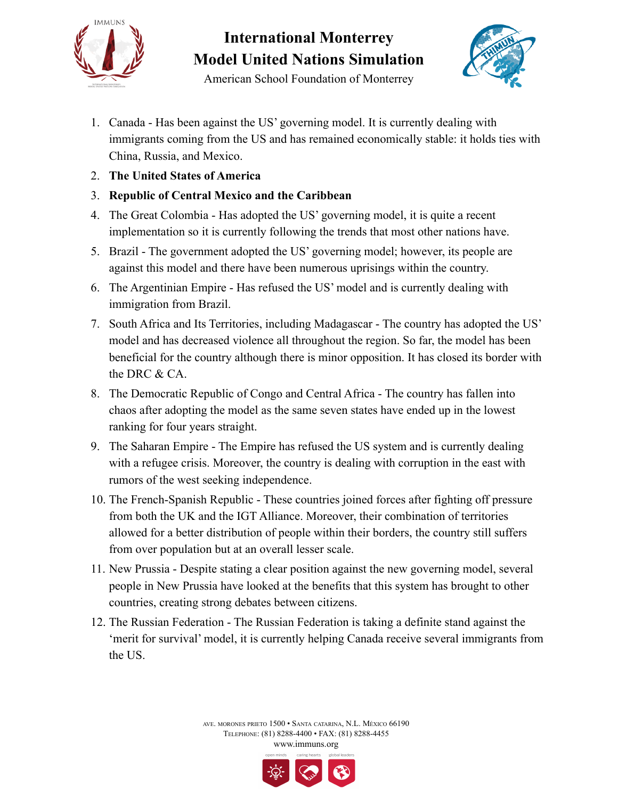



American School Foundation of Monterrey

- 1. Canada Has been against the US' governing model. It is currently dealing with immigrants coming from the US and has remained economically stable: it holds ties with China, Russia, and Mexico.
- 2. **The United States of America**
- 3. **Republic of Central Mexico and the Caribbean**
- 4. The Great Colombia Has adopted the US' governing model, it is quite a recent implementation so it is currently following the trends that most other nations have.
- 5. Brazil The government adopted the US' governing model; however, its people are against this model and there have been numerous uprisings within the country.
- 6. The Argentinian Empire Has refused the US' model and is currently dealing with immigration from Brazil.
- 7. South Africa and Its Territories, including Madagascar The country has adopted the US' model and has decreased violence all throughout the region. So far, the model has been beneficial for the country although there is minor opposition. It has closed its border with the DRC & CA.
- 8. The Democratic Republic of Congo and Central Africa The country has fallen into chaos after adopting the model as the same seven states have ended up in the lowest ranking for four years straight.
- 9. The Saharan Empire The Empire has refused the US system and is currently dealing with a refugee crisis. Moreover, the country is dealing with corruption in the east with rumors of the west seeking independence.
- 10. The French-Spanish Republic These countries joined forces after fighting off pressure from both the UK and the IGT Alliance. Moreover, their combination of territories allowed for a better distribution of people within their borders, the country still suffers from over population but at an overall lesser scale.
- 11. New Prussia Despite stating a clear position against the new governing model, several people in New Prussia have looked at the benefits that this system has brought to other countries, creating strong debates between citizens.
- 12. The Russian Federation The Russian Federation is taking a definite stand against the 'merit for survival' model, it is currently helping Canada receive several immigrants from the US.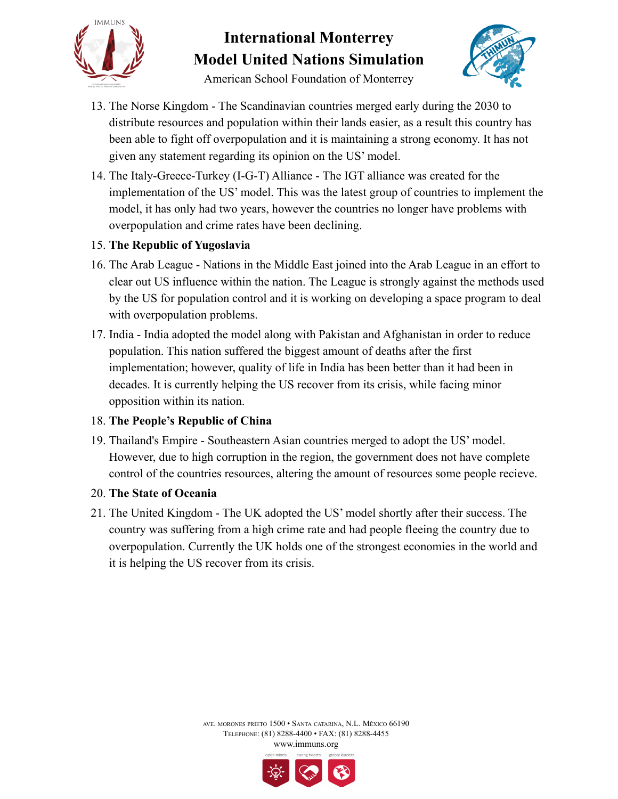

American School Foundation of Monterrey



- 13. The Norse Kingdom The Scandinavian countries merged early during the 2030 to distribute resources and population within their lands easier, as a result this country has been able to fight off overpopulation and it is maintaining a strong economy. It has not given any statement regarding its opinion on the US' model.
- 14. The Italy-Greece-Turkey (I-G-T) Alliance The IGT alliance was created for the implementation of the US' model. This was the latest group of countries to implement the model, it has only had two years, however the countries no longer have problems with overpopulation and crime rates have been declining.

### 15. **The Republic of Yugoslavia**

- 16. The Arab League Nations in the Middle East joined into the Arab League in an effort to clear out US influence within the nation. The League is strongly against the methods used by the US for population control and it is working on developing a space program to deal with overpopulation problems.
- 17. India India adopted the model along with Pakistan and Afghanistan in order to reduce population. This nation suffered the biggest amount of deaths after the first implementation; however, quality of life in India has been better than it had been in decades. It is currently helping the US recover from its crisis, while facing minor opposition within its nation.

### 18. **The People's Republic of China**

19. Thailand's Empire - Southeastern Asian countries merged to adopt the US' model. However, due to high corruption in the region, the government does not have complete control of the countries resources, altering the amount of resources some people recieve.

### 20. **The State of Oceania**

21. The United Kingdom - The UK adopted the US' model shortly after their success. The country was suffering from a high crime rate and had people fleeing the country due to overpopulation. Currently the UK holds one of the strongest economies in the world and it is helping the US recover from its crisis.